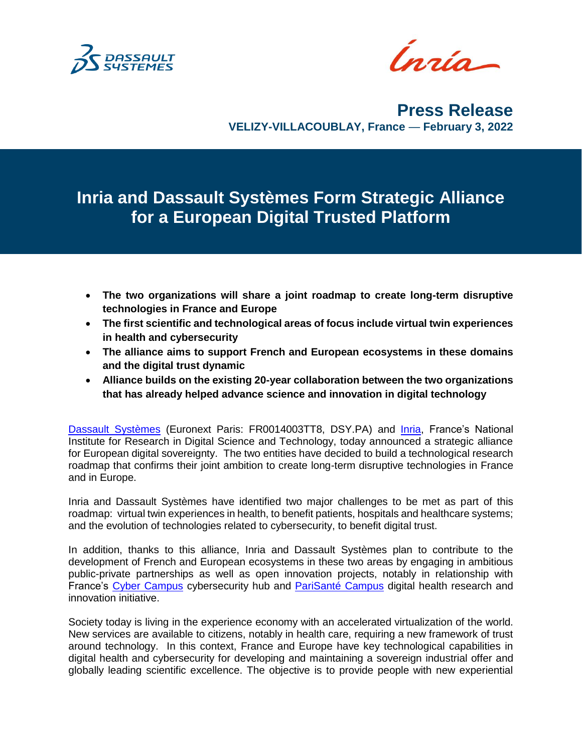

Ínría-

**Press Release VELIZY-VILLACOUBLAY, France** — **February 3, 2022**

**Inria and Dassault Systèmes Form Strategic Alliance for a European Digital Trusted Platform**

- **The two organizations will share a joint roadmap to create long-term disruptive technologies in France and Europe**
- **The first scientific and technological areas of focus include virtual twin experiences in health and cybersecurity**
- **The alliance aims to support French and European ecosystems in these domains and the digital trust dynamic**
- **Alliance builds on the existing 20-year collaboration between the two organizations that has already helped advance science and innovation in digital technology**

[Dassault Systèmes](http://www.3ds.com/) (Euronext Paris: FR0014003TT8, DSY.PA) and [Inria,](https://www.inria.fr/en) France's National Institute for Research in Digital Science and Technology, today announced a strategic alliance for European digital sovereignty. The two entities have decided to build a technological research roadmap that confirms their joint ambition to create long-term disruptive technologies in France and in Europe.

Inria and Dassault Systèmes have identified two major challenges to be met as part of this roadmap: virtual twin experiences in health, to benefit patients, hospitals and healthcare systems; and the evolution of technologies related to cybersecurity, to benefit digital trust.

In addition, thanks to this alliance, Inria and Dassault Systèmes plan to contribute to the development of French and European ecosystems in these two areas by engaging in ambitious public-private partnerships as well as open innovation projects, notably in relationship with France's [Cyber Campus](https://campuscyber.fr/en/) cybersecurity hub and [PariSanté Campus](https://parisantecampus.fr/) digital health research and innovation initiative.

Society today is living in the experience economy with an accelerated virtualization of the world. New services are available to citizens, notably in health care, requiring a new framework of trust around technology. In this context, France and Europe have key technological capabilities in digital health and cybersecurity for developing and maintaining a sovereign industrial offer and globally leading scientific excellence. The objective is to provide people with new experiential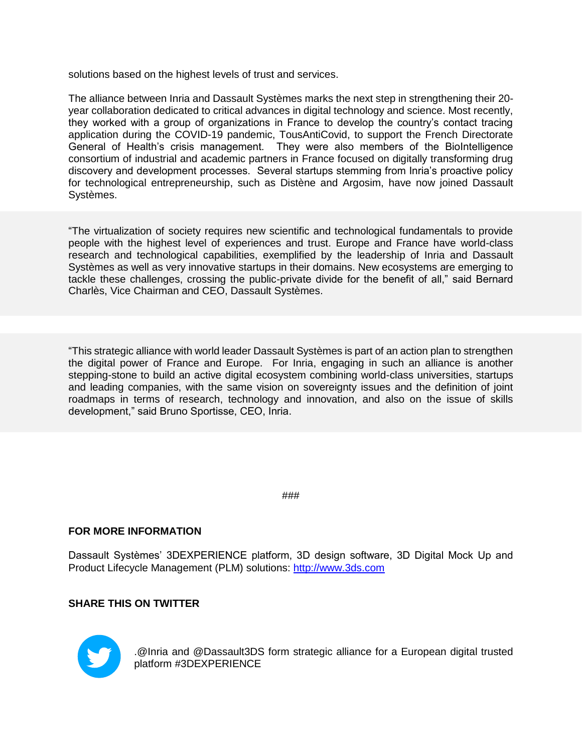solutions based on the highest levels of trust and services.

The alliance between Inria and Dassault Systèmes marks the next step in strengthening their 20 year collaboration dedicated to critical advances in digital technology and science. Most recently, they worked with a group of organizations in France to develop the country's contact tracing application during the COVID-19 pandemic, TousAntiCovid, to support the French Directorate General of Health's crisis management. They were also members of the BioIntelligence consortium of industrial and academic partners in France focused on digitally transforming drug discovery and development processes. Several startups stemming from Inria's proactive policy for technological entrepreneurship, such as Distène and Argosim, have now joined Dassault Systèmes.

"The virtualization of society requires new scientific and technological fundamentals to provide people with the highest level of experiences and trust. Europe and France have world-class research and technological capabilities, exemplified by the leadership of Inria and Dassault Systèmes as well as very innovative startups in their domains. New ecosystems are emerging to tackle these challenges, crossing the public-private divide for the benefit of all," said Bernard Charlès, Vice Chairman and CEO, Dassault Systèmes.

"This strategic alliance with world leader Dassault Systèmes is part of an action plan to strengthen the digital power of France and Europe. For Inria, engaging in such an alliance is another stepping-stone to build an active digital ecosystem combining world-class universities, startups and leading companies, with the same vision on sovereignty issues and the definition of joint roadmaps in terms of research, technology and innovation, and also on the issue of skills development," said Bruno Sportisse, CEO, Inria.

###

## **FOR MORE INFORMATION**

Dassault Systèmes' 3DEXPERIENCE platform, 3D design software, 3D Digital Mock Up and Product Lifecycle Management (PLM) solutions: [http://www.3ds.com](http://www.3ds.com/)

## **SHARE THIS ON TWITTER**



.@Inria and @Dassault3DS form strategic alliance for a European digital trusted platform #3DEXPERIENCE